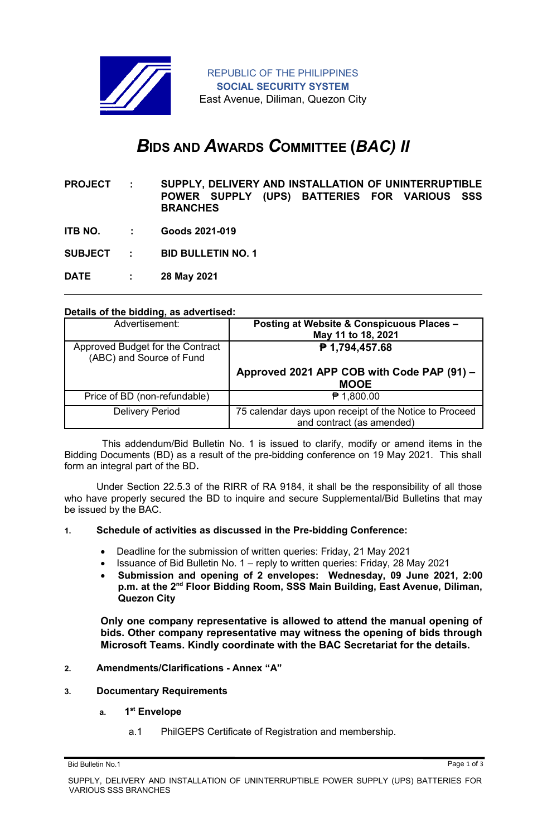

REPUBLIC OF THE PHILIPPINES **SOCIAL SECURITY SYSTEM** East Avenue, Diliman, Quezon City

# *B***IDS AND** *A***WARDS** *C***OMMITTEE (***BAC) II*

- **PROJECT : SUPPLY, DELIVERY AND INSTALLATION OF UNINTERRUPTIBLE POWER SUPPLY (UPS) BATTERIES FOR VARIOUS SSS BRANCHES**
- **ITB NO. : Goods 2021-019**

**SUBJECT : BID BULLETIN NO. 1**

**DATE : 28 May 2021**

### **Details of the bidding, as advertised:**

| Advertisement:                                               | Posting at Website & Conspicuous Places -<br>May 11 to 18, 2021                     |
|--------------------------------------------------------------|-------------------------------------------------------------------------------------|
| Approved Budget for the Contract<br>(ABC) and Source of Fund | ₱ 1,794,457.68                                                                      |
|                                                              | Approved 2021 APP COB with Code PAP (91) -<br><b>MOOE</b>                           |
| Price of BD (non-refundable)                                 | $P$ 1,800.00                                                                        |
| <b>Delivery Period</b>                                       | 75 calendar days upon receipt of the Notice to Proceed<br>and contract (as amended) |

 This addendum/Bid Bulletin No. 1 is issued to clarify, modify or amend items in the Bidding Documents (BD) as a result of the pre-bidding conference on 19 May 2021. This shall form an integral part of the BD**.**

Under Section 22.5.3 of the RIRR of RA 9184, it shall be the responsibility of all those who have properly secured the BD to inquire and secure Supplemental/Bid Bulletins that may be issued by the BAC.

### **1. Schedule of activities as discussed in the Pre-bidding Conference:**

- Deadline for the submission of written queries: Friday, 21 May 2021
	- Issuance of Bid Bulletin No. 1 reply to written queries: Friday, 28 May 2021
	- **Submission and opening of 2 envelopes: Wednesday, 09 June 2021, 2:00 p.m. at the 2nd Floor Bidding Room, SSS Main Building, East Avenue, Diliman, Quezon City**

**Only one company representative is allowed to attend the manual opening of bids. Other company representative may witness the opening of bids through Microsoft Teams. Kindly coordinate with the BAC Secretariat for the details.**

### **2. Amendments/Clarifications - Annex "A"**

- **3. Documentary Requirements**
	- **a. 1 st Envelope**
		- a.1 PhilGEPS Certificate of Registration and membership.

Bid Bulletin No.1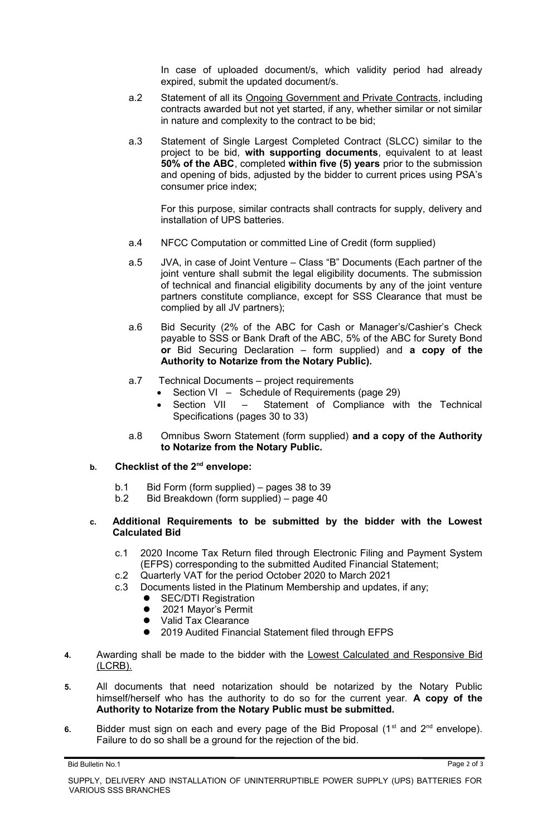In case of uploaded document/s, which validity period had already expired, submit the updated document/s.

- a.2 Statement of all its Ongoing Government and Private Contracts, including contracts awarded but not yet started, if any, whether similar or not similar in nature and complexity to the contract to be bid;
- a.3 Statement of Single Largest Completed Contract (SLCC) similar to the project to be bid, **with supporting documents**, equivalent to at least **50% of the ABC**, completed **within five (5) years** prior to the submission and opening of bids, adjusted by the bidder to current prices using PSA's consumer price index;

For this purpose, similar contracts shall contracts for supply, delivery and installation of UPS batteries.

- a.4 NFCC Computation or committed Line of Credit (form supplied)
- a.5 JVA, in case of Joint Venture Class "B" Documents (Each partner of the joint venture shall submit the legal eligibility documents. The submission of technical and financial eligibility documents by any of the joint venture partners constitute compliance, except for SSS Clearance that must be complied by all JV partners);
- a.6 Bid Security (2% of the ABC for Cash or Manager's/Cashier's Check payable to SSS or Bank Draft of the ABC, 5% of the ABC for Surety Bond **or** Bid Securing Declaration – form supplied) and **a copy of the Authority to Notarize from the Notary Public).**
- a.7 Technical Documents project requirements
	- Section VI Schedule of Requirements (page 29)
	- Section VII Statement of Compliance with the Technical Specifications (pages 30 to 33)
- a.8 Omnibus Sworn Statement (form supplied) **and a copy of the Authority to Notarize from the Notary Public.**

### **b. Checklist of the 2nd envelope:**

- b.1 Bid Form (form supplied) pages 38 to 39
- b.2 Bid Breakdown (form supplied) page 40

## **c. Additional Requirements to be submitted by the bidder with the Lowest Calculated Bid**

- c.1 2020 Income Tax Return filed through Electronic Filing and Payment System (EFPS) corresponding to the submitted Audited Financial Statement;
- c.2 Quarterly VAT for the period October 2020 to March 2021
- c.3 Documents listed in the Platinum Membership and updates, if any;
	- **•** SEC/DTI Registration
	- 2021 Mayor's Permit
	- Valid Tax Clearance
	- 2019 Audited Financial Statement filed through EFPS
- **4.** Awarding shall be made to the bidder with the Lowest Calculated and Responsive Bid (LCRB).
- **5.** All documents that need notarization should be notarized by the Notary Public himself/herself who has the authority to do so for the current year. **A copy of the Authority to Notarize from the Notary Public must be submitted.**
- 6. Bidder must sign on each and every page of the Bid Proposal (1<sup>st</sup> and 2<sup>nd</sup> envelope). Failure to do so shall be a ground for the rejection of the bid.

Bid Bulletin No.1